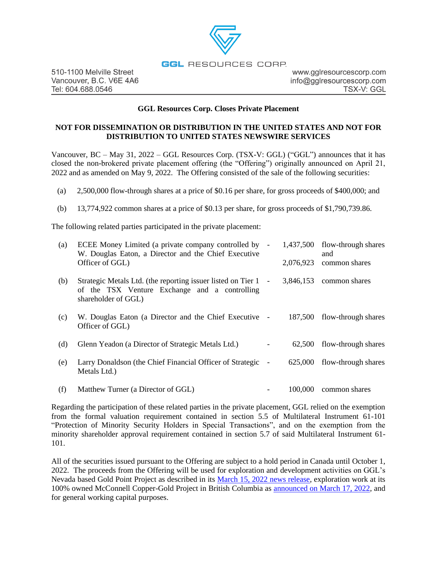## **GGL** RESOURCES CORP.

www.gglresourcescorp.com info@gglresourcescorp.com TSX-V: GGL

## **GGL Resources Corp. Closes Private Placement**

# **NOT FOR DISSEMINATION OR DISTRIBUTION IN THE UNITED STATES AND NOT FOR DISTRIBUTION TO UNITED STATES NEWSWIRE SERVICES**

Vancouver,  $BC - May 31$ ,  $2022 - GGL$  Resources Corp. (TSX-V: GGL) ("GGL") announces that it has closed the non-brokered private placement offering (the "Offering") originally announced on April 21, 2022 and as amended on May 9, 2022. The Offering consisted of the sale of the following securities:

- (a) 2,500,000 flow-through shares at a price of \$0.16 per share, for gross proceeds of \$400,000; and
- (b) 13,774,922 common shares at a price of \$0.13 per share, for gross proceeds of \$1,790,739.86.

The following related parties participated in the private placement:

| (a) | ECEE Money Limited (a private company controlled by -<br>W. Douglas Eaton, a Director and the Chief Executive                          |           | 1,437,500 flow-through shares<br>and |
|-----|----------------------------------------------------------------------------------------------------------------------------------------|-----------|--------------------------------------|
|     | Officer of GGL)                                                                                                                        | 2,076,923 | common shares                        |
| (b) | Strategic Metals Ltd. (the reporting issuer listed on Tier 1 -<br>of the TSX Venture Exchange and a controlling<br>shareholder of GGL) |           | $3,846,153$ common shares            |
| (c) | W. Douglas Eaton (a Director and the Chief Executive -<br>Officer of GGL)                                                              |           | 187,500 flow-through shares          |
| (d) | Glenn Yeadon (a Director of Strategic Metals Ltd.)                                                                                     | 62,500    | flow-through shares                  |
| (e) | Larry Donaldson (the Chief Financial Officer of Strategic -<br>Metals Ltd.)                                                            | 625,000   | flow-through shares                  |
| (f) | Matthew Turner (a Director of GGL)                                                                                                     | 100,000   | common shares                        |

Regarding the participation of these related parties in the private placement, GGL relied on the exemption from the formal valuation requirement contained in section 5.5 of Multilateral Instrument 61-101 "Protection of Minority Security Holders in Special Transactions", and on the exemption from the minority shareholder approval requirement contained in section 5.7 of said Multilateral Instrument 61- 101.

All of the securities issued pursuant to the Offering are subject to a hold period in Canada until October 1, 2022. The proceeds from the Offering will be used for exploration and development activities on GGL's Nevada based Gold Point Project as described in its [March 15, 2022 news release,](https://gglresourcescorp.com/news/2022/ggl-announces-the-start-of-the-2022-exploration-program-at-its-gold-point-project-nevada/) exploration work at its 100% owned McConnell Copper-Gold Project in British Columbia as [announced on March 17, 2022,](https://gglresourcescorp.com/news/2022/ggl-secures-permits-for-the-mcconnell-copper-gold-project-north-central-bc-work-planned-in-q3/) and for general working capital purposes.